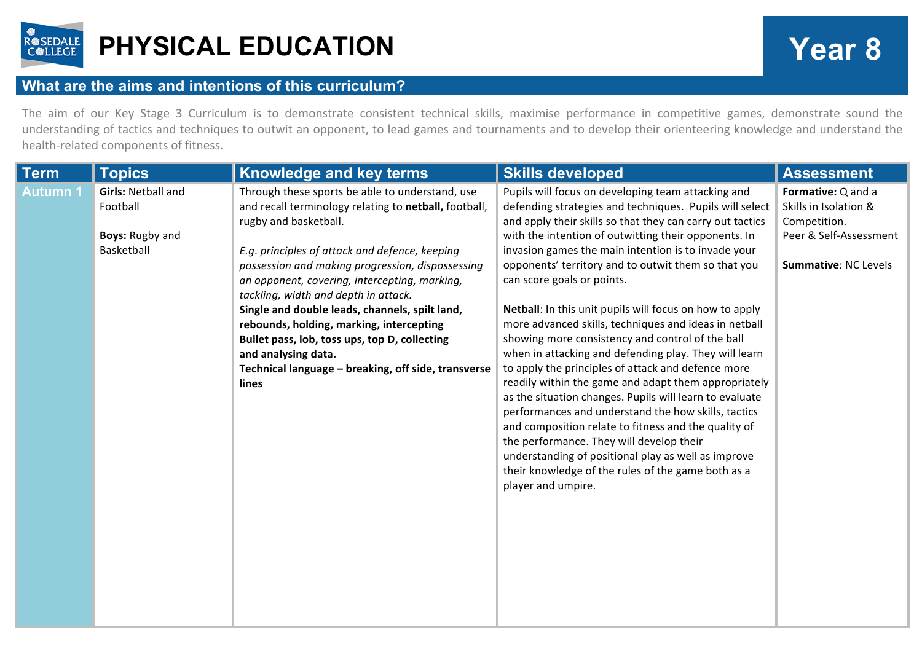

## **PHYSICAL EDUCATION Year 8**

## **What are the aims and intentions of this curriculum?**

The aim of our Key Stage 3 Curriculum is to demonstrate consistent technical skills, maximise performance in competitive games, demonstrate sound the understanding of tactics and techniques to outwit an opponent, to lead games and tournaments and to develop their orienteering knowledge and understand the health-related components of fitness.

| <b>Topics</b>                                                                 | <b>Knowledge and key terms</b>                                                                                                                                                                                                                                                                                                                                                                                                                                                                                                                                         | <b>Skills developed</b>                                                                                                                                                                                                                                                                                                                                                                                                                                                                                                                                                                                                                                                                                                                                                                                                                                                                                                                                                                                                                                                                | <b>Assessment</b>                                                                                                    |
|-------------------------------------------------------------------------------|------------------------------------------------------------------------------------------------------------------------------------------------------------------------------------------------------------------------------------------------------------------------------------------------------------------------------------------------------------------------------------------------------------------------------------------------------------------------------------------------------------------------------------------------------------------------|----------------------------------------------------------------------------------------------------------------------------------------------------------------------------------------------------------------------------------------------------------------------------------------------------------------------------------------------------------------------------------------------------------------------------------------------------------------------------------------------------------------------------------------------------------------------------------------------------------------------------------------------------------------------------------------------------------------------------------------------------------------------------------------------------------------------------------------------------------------------------------------------------------------------------------------------------------------------------------------------------------------------------------------------------------------------------------------|----------------------------------------------------------------------------------------------------------------------|
| <b>Girls: Netball and</b><br>Football<br><b>Boys: Rugby and</b><br>Basketball | Through these sports be able to understand, use<br>and recall terminology relating to netball, football,<br>rugby and basketball.<br>E.g. principles of attack and defence, keeping<br>possession and making progression, dispossessing<br>an opponent, covering, intercepting, marking,<br>tackling, width and depth in attack.<br>Single and double leads, channels, spilt land,<br>rebounds, holding, marking, intercepting<br>Bullet pass, lob, toss ups, top D, collecting<br>and analysing data.<br>Technical language - breaking, off side, transverse<br>lines | Pupils will focus on developing team attacking and<br>defending strategies and techniques. Pupils will select<br>and apply their skills so that they can carry out tactics<br>with the intention of outwitting their opponents. In<br>invasion games the main intention is to invade your<br>opponents' territory and to outwit them so that you<br>can score goals or points.<br>Netball: In this unit pupils will focus on how to apply<br>more advanced skills, techniques and ideas in netball<br>showing more consistency and control of the ball<br>when in attacking and defending play. They will learn<br>to apply the principles of attack and defence more<br>readily within the game and adapt them appropriately<br>as the situation changes. Pupils will learn to evaluate<br>performances and understand the how skills, tactics<br>and composition relate to fitness and the quality of<br>the performance. They will develop their<br>understanding of positional play as well as improve<br>their knowledge of the rules of the game both as a<br>player and umpire. | Formative: Q and a<br>Skills in Isolation &<br>Competition.<br>Peer & Self-Assessment<br><b>Summative: NC Levels</b> |
|                                                                               |                                                                                                                                                                                                                                                                                                                                                                                                                                                                                                                                                                        |                                                                                                                                                                                                                                                                                                                                                                                                                                                                                                                                                                                                                                                                                                                                                                                                                                                                                                                                                                                                                                                                                        |                                                                                                                      |
|                                                                               |                                                                                                                                                                                                                                                                                                                                                                                                                                                                                                                                                                        |                                                                                                                                                                                                                                                                                                                                                                                                                                                                                                                                                                                                                                                                                                                                                                                                                                                                                                                                                                                                                                                                                        |                                                                                                                      |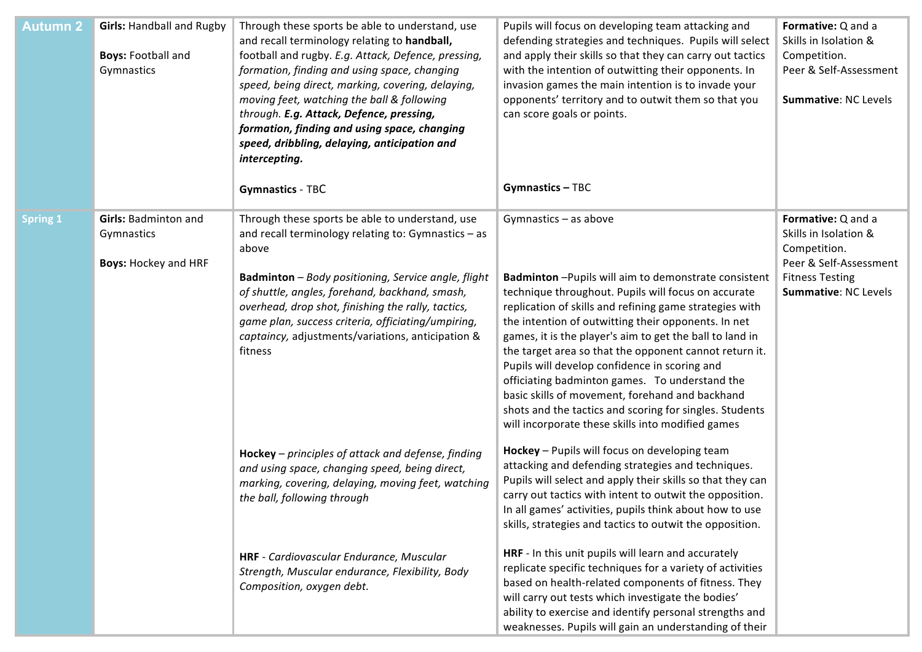| <b>Autumn 2</b> | <b>Girls: Handball and Rugby</b><br><b>Boys: Football and</b><br>Gymnastics | Through these sports be able to understand, use<br>and recall terminology relating to handball,<br>football and rugby. E.g. Attack, Defence, pressing,<br>formation, finding and using space, changing<br>speed, being direct, marking, covering, delaying,<br>moving feet, watching the ball & following<br>through. E.g. Attack, Defence, pressing,<br>formation, finding and using space, changing<br>speed, dribbling, delaying, anticipation and<br>intercepting.<br><b>Gymnastics - TBC</b> | Pupils will focus on developing team attacking and<br>defending strategies and techniques. Pupils will select<br>and apply their skills so that they can carry out tactics<br>with the intention of outwitting their opponents. In<br>invasion games the main intention is to invade your<br>opponents' territory and to outwit them so that you<br>can score goals or points.<br><b>Gymnastics - TBC</b>                                                                                                                                                                                                                                         | Formative: Q and a<br>Skills in Isolation &<br>Competition.<br>Peer & Self-Assessment<br>Summative: NC Levels                           |
|-----------------|-----------------------------------------------------------------------------|---------------------------------------------------------------------------------------------------------------------------------------------------------------------------------------------------------------------------------------------------------------------------------------------------------------------------------------------------------------------------------------------------------------------------------------------------------------------------------------------------|---------------------------------------------------------------------------------------------------------------------------------------------------------------------------------------------------------------------------------------------------------------------------------------------------------------------------------------------------------------------------------------------------------------------------------------------------------------------------------------------------------------------------------------------------------------------------------------------------------------------------------------------------|-----------------------------------------------------------------------------------------------------------------------------------------|
| <b>Spring 1</b> | <b>Girls: Badminton and</b><br>Gymnastics<br><b>Boys: Hockey and HRF</b>    | Through these sports be able to understand, use<br>and recall terminology relating to: Gymnastics $-$ as<br>above<br>Badminton - Body positioning, Service angle, flight<br>of shuttle, angles, forehand, backhand, smash,<br>overhead, drop shot, finishing the rally, tactics,<br>game plan, success criteria, officiating/umpiring,<br>captaincy, adjustments/variations, anticipation &<br>fitness                                                                                            | Gymnastics - as above<br>Badminton-Pupils will aim to demonstrate consistent<br>technique throughout. Pupils will focus on accurate<br>replication of skills and refining game strategies with<br>the intention of outwitting their opponents. In net<br>games, it is the player's aim to get the ball to land in<br>the target area so that the opponent cannot return it.<br>Pupils will develop confidence in scoring and<br>officiating badminton games. To understand the<br>basic skills of movement, forehand and backhand<br>shots and the tactics and scoring for singles. Students<br>will incorporate these skills into modified games | Formative: Q and a<br>Skills in Isolation &<br>Competition.<br>Peer & Self-Assessment<br><b>Fitness Testing</b><br>Summative: NC Levels |
|                 |                                                                             | Hockey - principles of attack and defense, finding<br>and using space, changing speed, being direct,<br>marking, covering, delaying, moving feet, watching<br>the ball, following through                                                                                                                                                                                                                                                                                                         | Hockey - Pupils will focus on developing team<br>attacking and defending strategies and techniques.<br>Pupils will select and apply their skills so that they can<br>carry out tactics with intent to outwit the opposition.<br>In all games' activities, pupils think about how to use<br>skills, strategies and tactics to outwit the opposition.                                                                                                                                                                                                                                                                                               |                                                                                                                                         |
|                 |                                                                             | HRF - Cardiovascular Endurance, Muscular<br>Strength, Muscular endurance, Flexibility, Body<br>Composition, oxygen debt.                                                                                                                                                                                                                                                                                                                                                                          | HRF - In this unit pupils will learn and accurately<br>replicate specific techniques for a variety of activities<br>based on health-related components of fitness. They<br>will carry out tests which investigate the bodies'<br>ability to exercise and identify personal strengths and<br>weaknesses. Pupils will gain an understanding of their                                                                                                                                                                                                                                                                                                |                                                                                                                                         |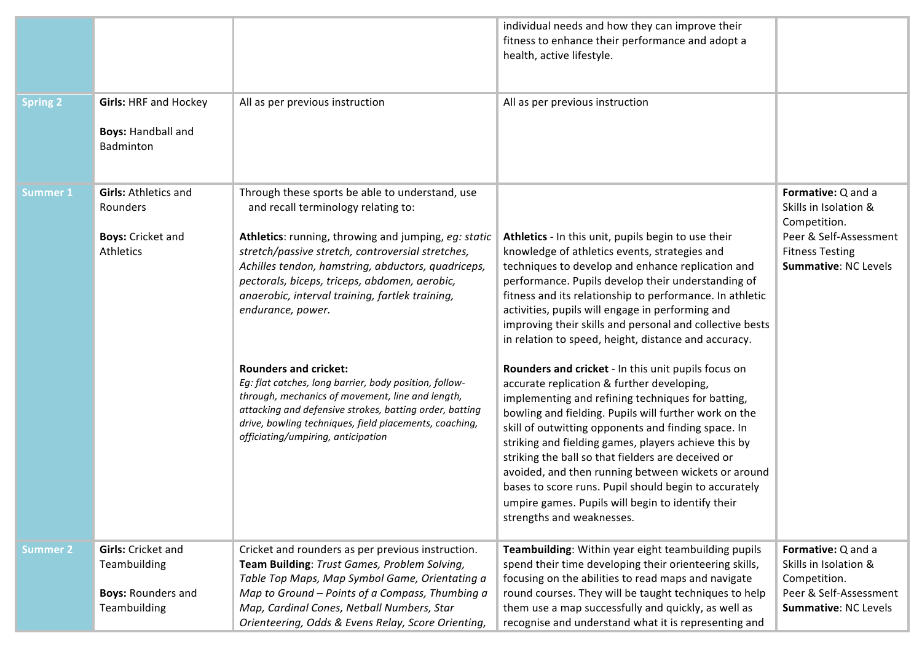|                 |                                                                                        |                                                                                                                                                                                                                                                                                                                                                                                                                                                                                                                                                                                                                                                                                             | individual needs and how they can improve their<br>fitness to enhance their performance and adopt a<br>health, active lifestyle.                                                                                                                                                                                                                                                                                                                                                                                                                                                                                                                                                                                                                                                                                                                                                                                                                                                                                                              |                                                                                                                                                |
|-----------------|----------------------------------------------------------------------------------------|---------------------------------------------------------------------------------------------------------------------------------------------------------------------------------------------------------------------------------------------------------------------------------------------------------------------------------------------------------------------------------------------------------------------------------------------------------------------------------------------------------------------------------------------------------------------------------------------------------------------------------------------------------------------------------------------|-----------------------------------------------------------------------------------------------------------------------------------------------------------------------------------------------------------------------------------------------------------------------------------------------------------------------------------------------------------------------------------------------------------------------------------------------------------------------------------------------------------------------------------------------------------------------------------------------------------------------------------------------------------------------------------------------------------------------------------------------------------------------------------------------------------------------------------------------------------------------------------------------------------------------------------------------------------------------------------------------------------------------------------------------|------------------------------------------------------------------------------------------------------------------------------------------------|
| <b>Spring 2</b> | <b>Girls: HRF and Hockey</b><br><b>Boys: Handball and</b><br>Badminton                 | All as per previous instruction                                                                                                                                                                                                                                                                                                                                                                                                                                                                                                                                                                                                                                                             | All as per previous instruction                                                                                                                                                                                                                                                                                                                                                                                                                                                                                                                                                                                                                                                                                                                                                                                                                                                                                                                                                                                                               |                                                                                                                                                |
| <b>Summer 1</b> | <b>Girls: Athletics and</b><br>Rounders<br><b>Boys: Cricket and</b><br>Athletics       | Through these sports be able to understand, use<br>and recall terminology relating to:<br>Athletics: running, throwing and jumping, eg: static<br>stretch/passive stretch, controversial stretches,<br>Achilles tendon, hamstring, abductors, quadriceps,<br>pectorals, biceps, triceps, abdomen, aerobic,<br>anaerobic, interval training, fartlek training,<br>endurance, power.<br><b>Rounders and cricket:</b><br>Eg: flat catches, long barrier, body position, follow-<br>through, mechanics of movement, line and length,<br>attacking and defensive strokes, batting order, batting<br>drive, bowling techniques, field placements, coaching,<br>officiating/umpiring, anticipation | Athletics - In this unit, pupils begin to use their<br>knowledge of athletics events, strategies and<br>techniques to develop and enhance replication and<br>performance. Pupils develop their understanding of<br>fitness and its relationship to performance. In athletic<br>activities, pupils will engage in performing and<br>improving their skills and personal and collective bests<br>in relation to speed, height, distance and accuracy.<br>Rounders and cricket - In this unit pupils focus on<br>accurate replication & further developing,<br>implementing and refining techniques for batting,<br>bowling and fielding. Pupils will further work on the<br>skill of outwitting opponents and finding space. In<br>striking and fielding games, players achieve this by<br>striking the ball so that fielders are deceived or<br>avoided, and then running between wickets or around<br>bases to score runs. Pupil should begin to accurately<br>umpire games. Pupils will begin to identify their<br>strengths and weaknesses. | Formative: Q and a<br>Skills in Isolation &<br>Competition.<br>Peer & Self-Assessment<br><b>Fitness Testing</b><br><b>Summative: NC Levels</b> |
| <b>Summer 2</b> | <b>Girls:</b> Cricket and<br>Teambuilding<br><b>Boys: Rounders and</b><br>Teambuilding | Cricket and rounders as per previous instruction.<br>Team Building: Trust Games, Problem Solving,<br>Table Top Maps, Map Symbol Game, Orientating a<br>Map to Ground - Points of a Compass, Thumbing a<br>Map, Cardinal Cones, Netball Numbers, Star<br>Orienteering, Odds & Evens Relay, Score Orienting,                                                                                                                                                                                                                                                                                                                                                                                  | Teambuilding: Within year eight teambuilding pupils<br>spend their time developing their orienteering skills,<br>focusing on the abilities to read maps and navigate<br>round courses. They will be taught techniques to help<br>them use a map successfully and quickly, as well as<br>recognise and understand what it is representing and                                                                                                                                                                                                                                                                                                                                                                                                                                                                                                                                                                                                                                                                                                  | Formative: Q and a<br>Skills in Isolation &<br>Competition.<br>Peer & Self-Assessment<br>Summative: NC Levels                                  |